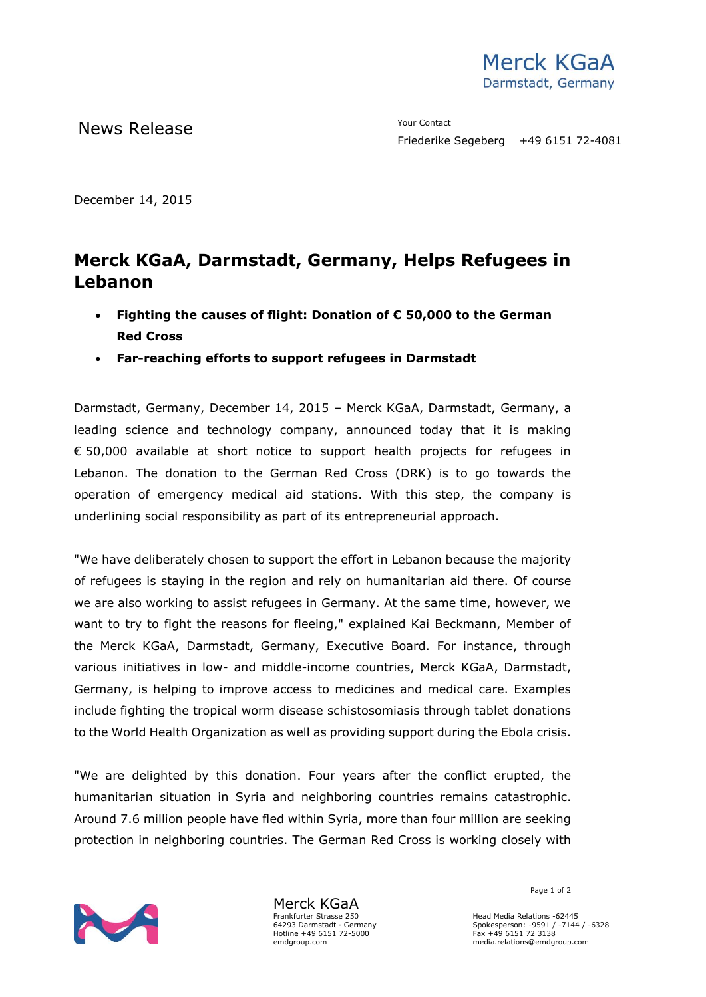

News Release The Contact Terms of the Metal School and The Vour Contact

December 14, 2015

## **Merck KGaA, Darmstadt, Germany, Helps Refugees in Lebanon**

- **Fighting the causes of flight: Donation of € 50,000 to the German Red Cross**
- **Far-reaching efforts to support refugees in Darmstadt**

Darmstadt, Germany, December 14, 2015 – Merck KGaA, Darmstadt, Germany, a leading science and technology company, announced today that it is making € 50,000 available at short notice to support health projects for refugees in Lebanon. The donation to the German Red Cross (DRK) is to go towards the operation of emergency medical aid stations. With this step, the company is underlining social responsibility as part of its entrepreneurial approach.

"We have deliberately chosen to support the effort in Lebanon because the majority of refugees is staying in the region and rely on humanitarian aid there. Of course we are also working to assist refugees in Germany. At the same time, however, we want to try to fight the reasons for fleeing," explained Kai Beckmann, Member of the Merck KGaA, Darmstadt, Germany, Executive Board. For instance, through various initiatives in low- and middle-income countries, Merck KGaA, Darmstadt, Germany, is helping to improve access to medicines and medical care. Examples include fighting the tropical worm disease schistosomiasis through tablet donations to the World Health Organization as well as providing support during the Ebola crisis.

"We are delighted by this donation. Four years after the conflict erupted, the humanitarian situation in Syria and neighboring countries remains catastrophic. Around 7.6 million people have fled within Syria, more than four million are seeking protection in neighboring countries. The German Red Cross is working closely with



Merck KGaA Frankfurter Strasse 250 64293 Darmstadt · Germany Hotline +49 6151 72-5000 emdgroup.com

Page 1 of 2

Head Media Relations -62445 Spokesperson: -9591 / -7144 / -6328 Fax +49 6151 72 3138 media.relations@emdgroup.com